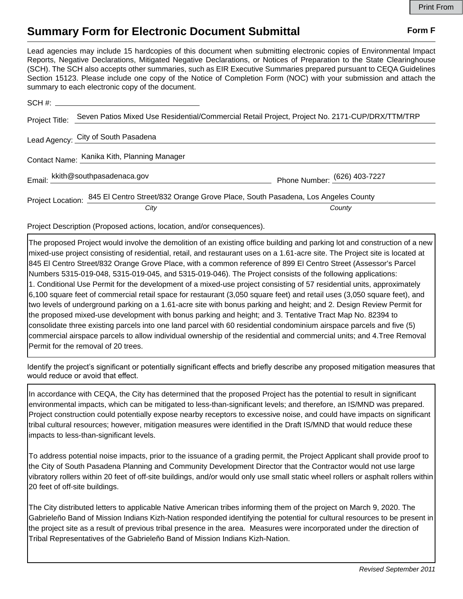## **Summary Form for Electronic Document Submittal Form F Form F**

Lead agencies may include 15 hardcopies of this document when submitting electronic copies of Environmental Impact Reports, Negative Declarations, Mitigated Negative Declarations, or Notices of Preparation to the State Clearinghouse (SCH). The SCH also accepts other summaries, such as EIR Executive Summaries prepared pursuant to CEQA Guidelines Section 15123. Please include one copy of the Notice of Completion Form (NOC) with your submission and attach the summary to each electronic copy of the document.

| SCH #:                                      |                                                                                                   |                              |
|---------------------------------------------|---------------------------------------------------------------------------------------------------|------------------------------|
| Project Title:                              | Seven Patios Mixed Use Residential/Commercial Retail Project, Project No. 2171-CUP/DRX/TTM/TRP    |                              |
|                                             | Lead Agency: City of South Pasadena                                                               |                              |
| Contact Name: Kanika Kith, Planning Manager |                                                                                                   |                              |
|                                             | Email: kkith@southpasadenaca.gov                                                                  | Phone Number: (626) 403-7227 |
|                                             | Project Location: 845 El Centro Street/832 Orange Grove Place, South Pasadena, Los Angeles County |                              |
|                                             | City                                                                                              | County                       |

Project Description (Proposed actions, location, and/or consequences).

The proposed Project would involve the demolition of an existing office building and parking lot and construction of a new mixed-use project consisting of residential, retail, and restaurant uses on a 1.61-acre site. The Project site is located at 845 El Centro Street/832 Orange Grove Place, with a common reference of 899 El Centro Street (Assessor's Parcel Numbers 5315-019-048, 5315-019-045, and 5315-019-046). The Project consists of the following applications: 1. Conditional Use Permit for the development of a mixed-use project consisting of 57 residential units, approximately 6,100 square feet of commercial retail space for restaurant (3,050 square feet) and retail uses (3,050 square feet), and two levels of underground parking on a 1.61-acre site with bonus parking and height; and 2. Design Review Permit for the proposed mixed-use development with bonus parking and height; and 3. Tentative Tract Map No. 82394 to consolidate three existing parcels into one land parcel with 60 residential condominium airspace parcels and five (5) commercial airspace parcels to allow individual ownership of the residential and commercial units; and 4.Tree Removal Permit for the removal of 20 trees.

Identify the project's significant or potentially significant effects and briefly describe any proposed mitigation measures that would reduce or avoid that effect.

In accordance with CEQA, the City has determined that the proposed Project has the potential to result in significant environmental impacts, which can be mitigated to less-than-significant levels; and therefore, an IS/MND was prepared. Project construction could potentially expose nearby receptors to excessive noise, and could have impacts on significant tribal cultural resources; however, mitigation measures were identified in the Draft IS/MND that would reduce these impacts to less-than-significant levels.

To address potential noise impacts, prior to the issuance of a grading permit, the Project Applicant shall provide proof to the City of South Pasadena Planning and Community Development Director that the Contractor would not use large vibratory rollers within 20 feet of off‐site buildings, and/or would only use small static wheel rollers or asphalt rollers within 20 feet of off‐site buildings.

The City distributed letters to applicable Native American tribes informing them of the project on March 9, 2020. The Gabrieleño Band of Mission Indians Kizh-Nation responded identifying the potential for cultural resources to be present in the project site as a result of previous tribal presence in the area. Measures were incorporated under the direction of Tribal Representatives of the Gabrieleño Band of Mission Indians Kizh-Nation.